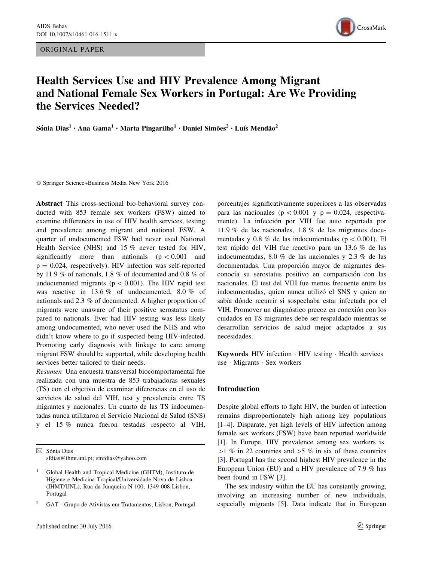ORIGINAL PAPER



# Health Services Use and HIV Prevalence Among Migrant and National Female Sex Workers in Portugal: Are We Providing the Services Needed?

Sónia Dias<sup>1</sup> • Ana Gama<sup>1</sup> • Marta Pingarilho<sup>1</sup> • Daniel Simões<sup>2</sup> • Luís Mendão<sup>2</sup>

- Springer Science+Business Media New York 2016

Abstract This cross-sectional bio-behavioral survey conducted with 853 female sex workers (FSW) aimed to examine differences in use of HIV health services, testing and prevalence among migrant and national FSW. A quarter of undocumented FSW had never used National Health Service (NHS) and 15 % never tested for HIV, significantly more than nationals  $(p < 0.001$  and  $p = 0.024$ , respectively). HIV infection was self-reported by 11.9 % of nationals, 1.8 % of documented and 0.8 % of undocumented migrants ( $p \lt 0.001$ ). The HIV rapid test was reactive in 13.6 % of undocumented, 8.0 % of nationals and 2.3 % of documented. A higher proportion of migrants were unaware of their positive serostatus compared to nationals. Ever had HIV testing was less likely among undocumented, who never used the NHS and who didn't know where to go if suspected being HIV-infected. Promoting early diagnosis with linkage to care among migrant FSW should be supported, while developing health services better tailored to their needs.

Resumen Una encuesta transversal biocomportamental fue realizada con una muestra de 853 trabajadoras sexuales (TS) con el objetivo de examinar diferencias en el uso de servicios de salud del VIH, test y prevalencia entre TS migrantes y nacionales. Un cuarto de las TS indocumentadas nunca utilizaron el Servicio Nacional de Salud (SNS) y el 15 % nunca fueron testadas respecto al VIH,

 $\boxtimes$  Sónia Dias sfdias@ihmt.unl.pt; smfdias@yahoo.com porcentajes significativamente superiores a las observadas para las nacionales ( $p < 0.001$  y  $p = 0.024$ , respectivamente). La infección por VIH fue auto reportada por 11.9 % de las nacionales, 1.8 % de las migrantes documentadas y 0.8 % de las indocumentadas ( $p<0.001$ ). El test rápido del VIH fue reactivo para un 13.6 % de las indocumentadas, 8.0 % de las nacionales y 2.3 % de las documentadas. Una proporción mayor de migrantes desconocía su serostatus positivo en comparación con las nacionales. El test del VIH fue menos frecuente entre las indocumentadas, quien nunca utilizó el SNS y quien no sabía dónde recurrir si sospechaba estar infectada por el VIH. Promover un diagnóstico precoz en conexión con los cuidados en TS migrantes debe ser respaldado mientras se desarrollan servicios de salud mejor adaptados a sus necesidades.

Keywords HIV infection · HIV testing · Health services use - Migrants - Sex workers

## Introduction

Despite global efforts to fight HIV, the burden of infection remains disproportionately high among key populations [\[1–4](#page-5-0)]. Disparate, yet high levels of HIV infection among female sex workers (FSW) have been reported worldwide [\[1](#page-5-0)]. In Europe, HIV prevalence among sex workers is  $>1$  % in 22 countries and  $>5$  % in six of these countries [\[3](#page-5-0)]. Portugal has the second highest HIV prevalence in the European Union (EU) and a HIV prevalence of 7.9 % has been found in FSW [\[3](#page-5-0)].

The sex industry within the EU has constantly growing, involving an increasing number of new individuals, especially migrants [\[5](#page-5-0)]. Data indicate that in European

<sup>1</sup> Global Health and Tropical Medicine (GHTM), Instituto de Higiene e Medicina Tropical/Universidade Nova de Lisboa (IHMT/UNL), Rua da Junqueira N 100, 1349-008 Lisbon, Portugal

<sup>2</sup> GAT - Grupo de Ativistas em Tratamentos, Lisbon, Portugal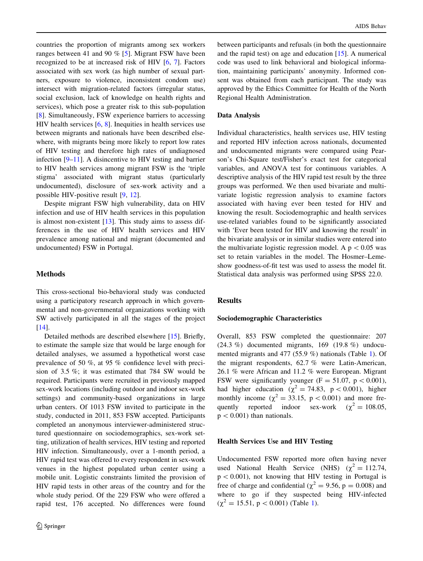countries the proportion of migrants among sex workers ranges between 41 and 90 % [\[5](#page-5-0)]. Migrant FSW have been recognized to be at increased risk of HIV [\[6](#page-5-0), [7\]](#page-5-0). Factors associated with sex work (as high number of sexual partners, exposure to violence, inconsistent condom use) intersect with migration-related factors (irregular status, social exclusion, lack of knowledge on health rights and services), which pose a greater risk to this sub-population [\[8](#page-5-0)]. Simultaneously, FSW experience barriers to accessing HIV health services  $[6, 8]$  $[6, 8]$  $[6, 8]$  $[6, 8]$  $[6, 8]$ . Inequities in health services use between migrants and nationals have been described elsewhere, with migrants being more likely to report low rates of HIV testing and therefore high rates of undiagnosed infection [\[9–11](#page-5-0)]. A disincentive to HIV testing and barrier to HIV health services among migrant FSW is the 'triple stigma' associated with migrant status (particularly undocumented), disclosure of sex-work activity and a possible HIV-positive result [\[9](#page-5-0), [12\]](#page-5-0).

Despite migrant FSW high vulnerability, data on HIV infection and use of HIV health services in this population is almost non-existent  $[13]$  $[13]$ . This study aims to assess differences in the use of HIV health services and HIV prevalence among national and migrant (documented and undocumented) FSW in Portugal.

## Methods

This cross-sectional bio-behavioral study was conducted using a participatory research approach in which governmental and non-governmental organizations working with SW actively participated in all the stages of the project [\[14](#page-5-0)].

Detailed methods are described elsewhere [[15\]](#page-5-0). Briefly, to estimate the sample size that would be large enough for detailed analyses, we assumed a hypothetical worst case prevalence of 50 %, at 95 % confidence level with precision of 3.5 %; it was estimated that 784 SW would be required. Participants were recruited in previously mapped sex-work locations (including outdoor and indoor sex-work settings) and community-based organizations in large urban centers. Of 1013 FSW invited to participate in the study, conducted in 2011, 853 FSW accepted. Participants completed an anonymous interviewer-administered structured questionnaire on sociodemographics, sex-work setting, utilization of health services, HIV testing and reported HIV infection. Simultaneously, over a 1-month period, a HIV rapid test was offered to every respondent in sex-work venues in the highest populated urban center using a mobile unit. Logistic constraints limited the provision of HIV rapid tests in other areas of the country and for the whole study period. Of the 229 FSW who were offered a rapid test, 176 accepted. No differences were found between participants and refusals (in both the questionnaire and the rapid test) on age and education [\[15](#page-5-0)]. A numerical code was used to link behavioral and biological information, maintaining participants' anonymity. Informed consent was obtained from each participant. The study was approved by the Ethics Committee for Health of the North Regional Health Administration.

#### Data Analysis

Individual characteristics, health services use, HIV testing and reported HIV infection across nationals, documented and undocumented migrants were compared using Pearson's Chi-Square test/Fisher's exact test for categorical variables, and ANOVA test for continuous variables. A descriptive analysis of the HIV rapid test result by the three groups was performed. We then used bivariate and multivariate logistic regression analysis to examine factors associated with having ever been tested for HIV and knowing the result. Sociodemographic and health services use-related variables found to be significantly associated with 'Ever been tested for HIV and knowing the result' in the bivariate analysis or in similar studies were entered into the multivariate logistic regression model. A  $p < 0.05$  was set to retain variables in the model. The Hosmer–Lemeshow goodness-of-fit test was used to assess the model fit. Statistical data analysis was performed using SPSS 22.0.

#### Results

#### Sociodemographic Characteristics

Overall, 853 FSW completed the questionnaire: 207 (24.3 %) documented migrants, 169 (19.8 %) undocumented migrants and 477 (55.9 %) nationals (Table [1\)](#page-2-0). Of the migrant respondents, 62.7 % were Latin-American, 26.1 % were African and 11.2 % were European. Migrant FSW were significantly younger (F = 51.07,  $p < 0.001$ ), had higher education ( $\chi^2 = 74.83$ , p < 0.001), higher monthly income ( $\chi^2 = 33.15$ , p < 0.001) and more frequently reported indoor sex-work ( $\chi^2 = 108.05$ ,  $p < 0.001$ ) than nationals.

### Health Services Use and HIV Testing

Undocumented FSW reported more often having never used National Health Service (NHS)  $(\chi^2 = 112.74,$  $p < 0.001$ ), not knowing that HIV testing in Portugal is free of charge and confidential ( $\chi^2 = 9.56$ , p = 0.008) and where to go if they suspected being HIV-infected  $(\chi^2 = 15.51, p < 0.001)$  $(\chi^2 = 15.51, p < 0.001)$  $(\chi^2 = 15.51, p < 0.001)$  (Table 1).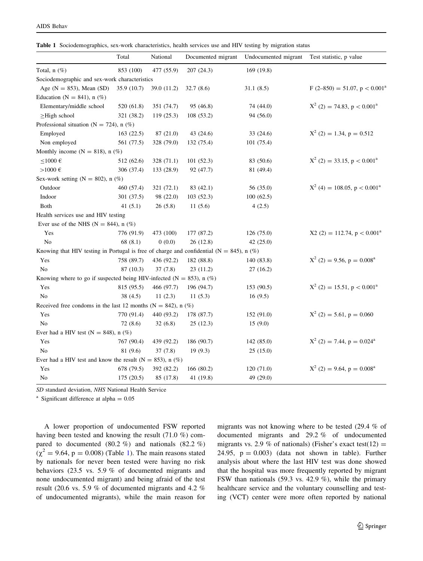<span id="page-2-0"></span>

|  | <b>Table 1</b> Sociodemographics, sex-work characteristics, health services use and HIV testing by migration status |  |  |  |  |  |  |  |  |
|--|---------------------------------------------------------------------------------------------------------------------|--|--|--|--|--|--|--|--|
|--|---------------------------------------------------------------------------------------------------------------------|--|--|--|--|--|--|--|--|

|                                                                                              | Total       | National    | Documented migrant | Undocumented migrant | Test statistic, p value                    |
|----------------------------------------------------------------------------------------------|-------------|-------------|--------------------|----------------------|--------------------------------------------|
| Total, $n$ $(\%)$                                                                            | 853 (100)   | 477 (55.9)  | 207 (24.3)         | 169 (19.8)           |                                            |
| Sociodemographic and sex-work characteristics                                                |             |             |                    |                      |                                            |
| Age ( $N = 853$ ), Mean (SD)                                                                 | 35.9 (10.7) | 39.0 (11.2) | 32.7(8.6)          | 31.1(8.5)            | $F(2-850) = 51.07, p < 0.001^{\circ}$      |
| Education ( $N = 841$ ), n (%)                                                               |             |             |                    |                      |                                            |
| Elementary/middle school                                                                     | 520 (61.8)  | 351 (74.7)  | 95 (46.8)          | 74 (44.0)            | $X^2$ (2) = 74.83, p < 0.001 <sup>a</sup>  |
| $\geq$ High school                                                                           | 321 (38.2)  | 119 (25.3)  | 108 (53.2)         | 94 (56.0)            |                                            |
| Professional situation (N = 724), n $(\%)$                                                   |             |             |                    |                      |                                            |
| Employed                                                                                     | 163(22.5)   | 87 (21.0)   | 43 (24.6)          | 33(24.6)             | $X^2$ (2) = 1.34, p = 0.512                |
| Non employed                                                                                 | 561 (77.5)  | 328 (79.0)  | 132 (75.4)         | 101 (75.4)           |                                            |
| Monthly income ( $N = 818$ ), n (%)                                                          |             |             |                    |                      |                                            |
| ${\leq}1000$ ${\in}$                                                                         | 512 (62.6)  | 328 (71.1)  | 101(52.3)          | 83 (50.6)            | $X^2$ (2) = 33.15, p < 0.001 <sup>a</sup>  |
| ${>}1000$ $\in$                                                                              | 306 (37.4)  | 133 (28.9)  | 92 (47.7)          | 81 (49.4)            |                                            |
| Sex-work setting ( $N = 802$ ), n (%)                                                        |             |             |                    |                      |                                            |
| Outdoor                                                                                      | 460 (57.4)  | 321 (72.1)  | 83 (42.1)          | 56 (35.0)            | $X^2$ (4) = 108.05, p < 0.001 <sup>a</sup> |
| Indoor                                                                                       | 301 (37.5)  | 98 (22.0)   | 103 (52.3)         | 100(62.5)            |                                            |
| Both                                                                                         | 41 $(5.1)$  | 26(5.8)     | 11(5.6)            | 4(2.5)               |                                            |
| Health services use and HIV testing                                                          |             |             |                    |                      |                                            |
| Ever use of the NHS ( $N = 844$ ), n (%)                                                     |             |             |                    |                      |                                            |
| Yes                                                                                          | 776 (91.9)  | 473 (100)   | 177 (87.2)         | 126 (75.0)           | $X2(2) = 112.74$ , $p < 0.001a$            |
| No                                                                                           | 68(8.1)     | 0(0.0)      | 26(12.8)           | 42 $(25.0)$          |                                            |
| Knowing that HIV testing in Portugal is free of charge and confidential ( $N = 845$ ), n (%) |             |             |                    |                      |                                            |
| Yes                                                                                          | 758 (89.7)  | 436 (92.2)  | 182 (88.8)         | 140 (83.8)           | $X^2$ (2) = 9.56, p = 0.008 <sup>a</sup>   |
| N <sub>0</sub>                                                                               | 87 (10.3)   | 37(7.8)     | 23(11.2)           | 27(16.2)             |                                            |
| Knowing where to go if suspected being HIV-infected ( $N = 853$ ), n (%)                     |             |             |                    |                      |                                            |
| Yes                                                                                          | 815 (95.5)  | 466 (97.7)  | 196 (94.7)         | 153 (90.5)           | $X^2$ (2) = 15.51, p < 0.001 <sup>a</sup>  |
| N <sub>0</sub>                                                                               | 38(4.5)     | 11(2.3)     | 11(5.3)            | 16(9.5)              |                                            |
| Received free condoms in the last 12 months ( $N = 842$ ), n (%)                             |             |             |                    |                      |                                            |
| Yes                                                                                          | 770 (91.4)  | 440 (93.2)  | 178 (87.7)         | 152 (91.0)           | $X^2$ (2) = 5.61, p = 0.060                |
| No                                                                                           | 72(8.6)     | 32(6.8)     | 25(12.3)           | 15(9.0)              |                                            |
| Ever had a HIV test ( $N = 848$ ), n (%)                                                     |             |             |                    |                      |                                            |
| Yes                                                                                          | 767 (90.4)  | 439 (92.2)  | 186 (90.7)         | 142 (85.0)           | $X^2$ (2) = 7.44, p = 0.024 <sup>a</sup>   |
| No                                                                                           | 81 (9.6)    | 37 (7.8)    | 19(9.3)            | 25(15.0)             |                                            |
| Ever had a HIV test and know the result ( $N = 853$ ), n (%)                                 |             |             |                    |                      |                                            |
| Yes                                                                                          | 678 (79.5)  | 392 (82.2)  | 166 (80.2)         | 120 (71.0)           | $X^2$ (2) = 9.64, p = 0.008 <sup>a</sup>   |
| No                                                                                           | 175 (20.5)  | 85 (17.8)   | 41 (19.8)          | 49 (29.0)            |                                            |
|                                                                                              |             |             |                    |                      |                                            |

SD standard deviation, NHS National Health Service

<sup>a</sup> Significant difference at alpha  $= 0.05$ 

A lower proportion of undocumented FSW reported having been tested and knowing the result (71.0 %) compared to documented (80.2 %) and nationals (82.2 %)  $(\chi^2 = 9.64, p = 0.008)$  (Table 1). The main reasons stated by nationals for never been tested were having no risk behaviors (23.5 vs. 5.9 % of documented migrants and none undocumented migrant) and being afraid of the test result (20.6 vs. 5.9 % of documented migrants and 4.2 % of undocumented migrants), while the main reason for migrants was not knowing where to be tested (29.4 % of documented migrants and 29.2 % of undocumented migrants vs. 2.9 % of nationals) (Fisher's exact test(12) = 24.95,  $p = 0.003$ ) (data not shown in table). Further analysis about where the last HIV test was done showed that the hospital was more frequently reported by migrant FSW than nationals (59.3 vs. 42.9 %), while the primary healthcare service and the voluntary counselling and testing (VCT) center were more often reported by national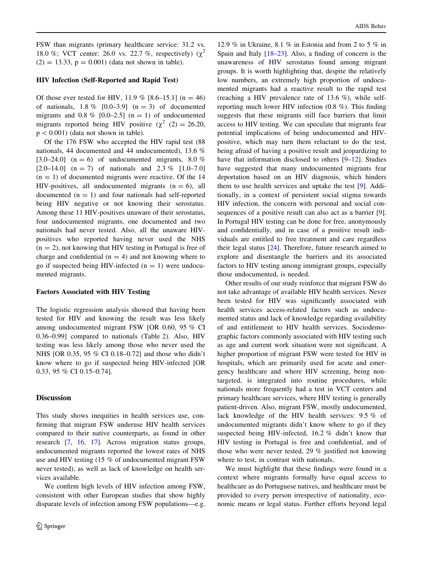FSW than migrants (primary healthcare service: 31.2 vs. 18.0 %; VCT center: 26.0 vs. 22.7 %, respectively)  $(\chi^2)$  $(2) = 13.33$ ,  $p = 0.001$ ) (data not shown in table).

#### HIV Infection (Self-Reported and Rapid Test)

Of those ever tested for HIV, 11.9 %  $[8.6-15.1]$  (n = 46) of nationals,  $1.8\%$  [0.0–3.9] (n = 3) of documented migrants and 0.8 %  $[0.0-2.5]$  (n = 1) of undocumented migrants reported being HIV positive ( $\chi^2$  (2) = 26.20,  $p < 0.001$ ) (data not shown in table).

Of the 176 FSW who accepted the HIV rapid test (88 nationals, 44 documented and 44 undocumented), 13.6 % [3.0–24.0] (n = 6) of undocumented migrants, 8.0 %  $[2.0-14.0]$  (n = 7) of nationals and 2.3 %  $[1.0-7.0]$  $(n = 1)$  of documented migrants were reactive. Of the 14 HIV-positives, all undocumented migrants  $(n = 6)$ , all documented  $(n = 1)$  and four nationals had self-reported being HIV negative or not knowing their serostatus. Among these 11 HIV-positives unaware of their serostatus, four undocumented migrants, one documented and two nationals had never tested. Also, all the unaware HIVpositives who reported having never used the NHS  $(n = 2)$ , not knowing that HIV testing in Portugal is free of charge and confidential ( $n = 4$ ) and not knowing where to go if suspected being HIV-infected  $(n = 1)$  were undocumented migrants.

#### Factors Associated with HIV Testing

The logistic regression analysis showed that having been tested for HIV and knowing the result was less likely among undocumented migrant FSW [OR 0.60, 95 % CI 0.36–0.99] compared to nationals (Table [2\)](#page-4-0). Also, HIV testing was less likely among those who never used the NHS [OR 0.35, 95 % CI 0.18–0.72] and those who didn't know where to go if suspected being HIV-infected [OR 0.33, 95 % CI 0.15–0.74].

#### Discussion

This study shows inequities in health services use, confirming that migrant FSW underuse HIV health services compared to their native counterparts, as found in other research [\[7](#page-5-0), [16](#page-5-0), [17\]](#page-5-0). Across migration status groups, undocumented migrants reported the lowest rates of NHS use and HIV testing (15 % of undocumented migrant FSW never tested), as well as lack of knowledge on health services available.

We confirm high levels of HIV infection among FSW, consistent with other European studies that show highly disparate levels of infection among FSW populations—e.g.

12.9 % in Ukraine, 8.1 % in Estonia and from 2 to 5 % in Spain and Italy [[18–23\]](#page-5-0). Also, a finding of concern is the unawareness of HIV serostatus found among migrant groups. It is worth highlighting that, despite the relatively low numbers, an extremely high proportion of undocumented migrants had a reactive result to the rapid test (reaching a HIV prevalence rate of 13.6 %), while selfreporting much lower HIV infection (0.8 %). This finding suggests that these migrants still face barriers that limit access to HIV testing. We can speculate that migrants fear potential implications of being undocumented and HIVpositive, which may turn them reluctant to do the test, being afraid of having a positive result and jeopardizing to have that information disclosed to others [[9–12\]](#page-5-0). Studies have suggested that many undocumented migrants fear deportation based on an HIV diagnosis, which hinders them to use health services and uptake the test [[9\]](#page-5-0). Additionally, in a context of persistent social stigma towards HIV infection, the concern with personal and social con-sequences of a positive result can also act as a barrier [\[9](#page-5-0)]. In Portugal HIV testing can be done for free, anonymously and confidentially, and in case of a positive result individuals are entitled to free treatment and care regardless their legal status [\[24](#page-5-0)]. Therefore, future research aimed to explore and disentangle the barriers and its associated factors to HIV testing among immigrant groups, especially those undocumented, is needed.

Other results of our study reinforce that migrant FSW do not take advantage of available HIV health services. Never been tested for HIV was significantly associated with health services access-related factors such as undocumented status and lack of knowledge regarding availability of and entitlement to HIV health services. Sociodemographic factors commonly associated with HIV testing such as age and current work situation were not significant. A higher proportion of migrant FSW were tested for HIV in hospitals, which are primarily used for acute and emergency healthcare and where HIV screening, being nontargeted, is integrated into routine procedures, while nationals more frequently had a test in VCT centers and primary healthcare services, where HIV testing is generally patient-driven. Also, migrant FSW, mostly undocumented, lack knowledge of the HIV health services: 9.5 % of undocumented migrants didn't know where to go if they suspected being HIV-infected, 16.2 % didn't know that HIV testing in Portugal is free and confidential, and of those who were never tested, 29 % justified not knowing where to test, in contrast with nationals.

We must highlight that these findings were found in a context where migrants formally have equal access to healthcare as do Portuguese natives, and healthcare must be provided to every person irrespective of nationality, economic means or legal status. Further efforts beyond legal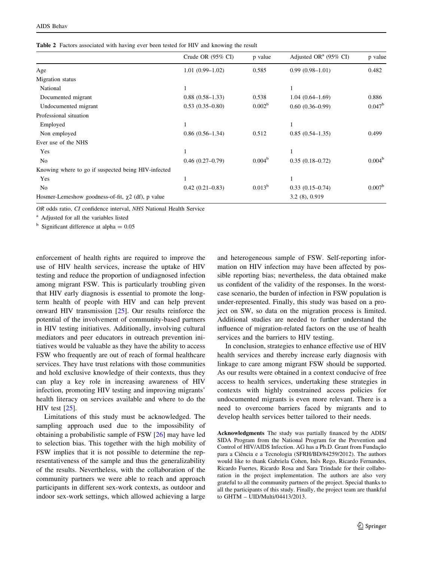<span id="page-4-0"></span>

|  |  |  |  | <b>Table 2</b> Factors associated with having ever been tested for HIV and knowing the result |
|--|--|--|--|-----------------------------------------------------------------------------------------------|
|--|--|--|--|-----------------------------------------------------------------------------------------------|

|                                                         | Crude OR (95% CI)   | p value            | Adjusted OR <sup>a</sup> (95% CI) | p value         |
|---------------------------------------------------------|---------------------|--------------------|-----------------------------------|-----------------|
| Age                                                     | $1.01(0.99-1.02)$   | 0.585              | $0.99(0.98-1.01)$                 | 0.482           |
| Migration status                                        |                     |                    |                                   |                 |
| National                                                |                     |                    |                                   |                 |
| Documented migrant                                      | $0.88(0.58-1.33)$   | 0.538              | $1.04(0.64 - 1.69)$               | 0.886           |
| Undocumented migrant                                    | $0.53(0.35-0.80)$   | 0.002 <sup>b</sup> | $0.60(0.36-0.99)$                 | $0.047^{\rm b}$ |
| Professional situation                                  |                     |                    |                                   |                 |
| Employed                                                |                     |                    |                                   |                 |
| Non employed                                            | $0.86(0.56-1.34)$   | 0.512              | $0.85(0.54-1.35)$                 | 0.499           |
| Ever use of the NHS                                     |                     |                    |                                   |                 |
| Yes                                                     | 1                   |                    | 1                                 |                 |
| N <sub>0</sub>                                          | $0.46(0.27-0.79)$   | 0.004 <sup>b</sup> | $0.35(0.18 - 0.72)$               | $0.004^{\rm b}$ |
| Knowing where to go if suspected being HIV-infected     |                     |                    |                                   |                 |
| Yes                                                     |                     |                    |                                   |                 |
| No                                                      | $0.42(0.21 - 0.83)$ | $0.013^{b}$        | $0.33(0.15-0.74)$                 | $0.007^{\rm b}$ |
| Hosmer-Lemeshow goodness-of-fit, $\chi$ 2 (df), p value |                     |                    | 3.2(8), 0.919                     |                 |

OR odds ratio, CI confidence interval, NHS National Health Service

<sup>a</sup> Adjusted for all the variables listed

 $b$  Significant difference at alpha = 0.05

enforcement of health rights are required to improve the use of HIV health services, increase the uptake of HIV testing and reduce the proportion of undiagnosed infection among migrant FSW. This is particularly troubling given that HIV early diagnosis is essential to promote the longterm health of people with HIV and can help prevent onward HIV transmission [[25\]](#page-5-0). Our results reinforce the potential of the involvement of community-based partners in HIV testing initiatives. Additionally, involving cultural mediators and peer educators in outreach prevention initiatives would be valuable as they have the ability to access FSW who frequently are out of reach of formal healthcare services. They have trust relations with those communities and hold exclusive knowledge of their contexts, thus they can play a key role in increasing awareness of HIV infection, promoting HIV testing and improving migrants' health literacy on services available and where to do the HIV test [[25\]](#page-5-0).

Limitations of this study must be acknowledged. The sampling approach used due to the impossibility of obtaining a probabilistic sample of FSW [[26\]](#page-5-0) may have led to selection bias. This together with the high mobility of FSW implies that it is not possible to determine the representativeness of the sample and thus the generalizability of the results. Nevertheless, with the collaboration of the community partners we were able to reach and approach participants in different sex-work contexts, as outdoor and indoor sex-work settings, which allowed achieving a large and heterogeneous sample of FSW. Self-reporting information on HIV infection may have been affected by possible reporting bias; nevertheless, the data obtained make us confident of the validity of the responses. In the worstcase scenario, the burden of infection in FSW population is under-represented. Finally, this study was based on a project on SW, so data on the migration process is limited. Additional studies are needed to further understand the influence of migration-related factors on the use of health services and the barriers to HIV testing.

In conclusion, strategies to enhance effective use of HIV health services and thereby increase early diagnosis with linkage to care among migrant FSW should be supported. As our results were obtained in a context conducive of free access to health services, undertaking these strategies in contexts with highly constrained access policies for undocumented migrants is even more relevant. There is a need to overcome barriers faced by migrants and to develop health services better tailored to their needs.

Acknowledgments The study was partially financed by the ADIS/ SIDA Program from the National Program for the Prevention and Control of HIV/AIDS Infection. AG has a Ph.D. Grant from Fundação para a Ciência e a Tecnologia (SFRH/BD/84259/2012). The authors would like to thank Gabriela Cohen, Inês Rego, Ricardo Fernandes, Ricardo Fuertes, Ricardo Rosa and Sara Trindade for their collaboration in the project implementation. The authors are also very grateful to all the community partners of the project. Special thanks to all the participants of this study. Finally, the project team are thankful to GHTM – UID/Multi/04413/2013.